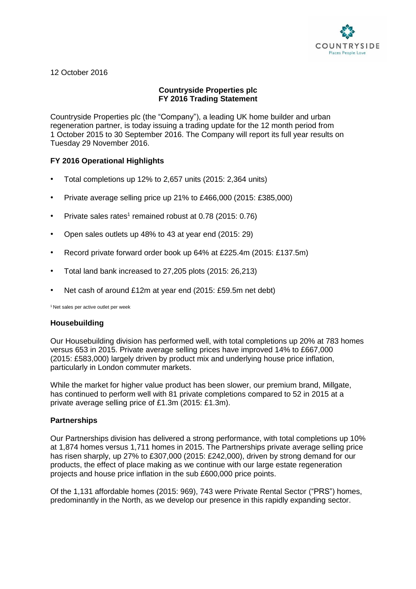

12 October 2016

# **Countryside Properties plc FY 2016 Trading Statement**

Countryside Properties plc (the "Company"), a leading UK home builder and urban regeneration partner, is today issuing a trading update for the 12 month period from 1 October 2015 to 30 September 2016. The Company will report its full year results on Tuesday 29 November 2016.

# **FY 2016 Operational Highlights**

- Total completions up 12% to 2,657 units (2015: 2,364 units)
- Private average selling price up 21% to £466,000 (2015: £385,000)
- Private sales rates<sup>1</sup> remained robust at 0.78 (2015: 0.76)
- Open sales outlets up 48% to 43 at year end (2015: 29)
- Record private forward order book up 64% at £225.4m (2015: £137.5m)
- Total land bank increased to 27,205 plots (2015: 26,213)
- Net cash of around £12m at year end (2015: £59.5m net debt)

<sup>1</sup> Net sales per active outlet per week

# **Housebuilding**

Our Housebuilding division has performed well, with total completions up 20% at 783 homes versus 653 in 2015. Private average selling prices have improved 14% to £667,000 (2015: £583,000) largely driven by product mix and underlying house price inflation, particularly in London commuter markets.

While the market for higher value product has been slower, our premium brand, Millgate, has continued to perform well with 81 private completions compared to 52 in 2015 at a private average selling price of £1.3m (2015: £1.3m).

# **Partnerships**

Our Partnerships division has delivered a strong performance, with total completions up 10% at 1,874 homes versus 1,711 homes in 2015. The Partnerships private average selling price has risen sharply, up 27% to £307,000 (2015: £242,000), driven by strong demand for our products, the effect of place making as we continue with our large estate regeneration projects and house price inflation in the sub £600,000 price points.

Of the 1,131 affordable homes (2015: 969), 743 were Private Rental Sector ("PRS") homes, predominantly in the North, as we develop our presence in this rapidly expanding sector.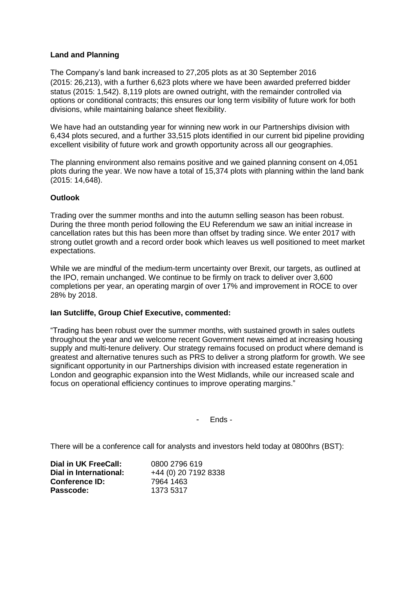# **Land and Planning**

The Company's land bank increased to 27,205 plots as at 30 September 2016 (2015: 26,213), with a further 6,623 plots where we have been awarded preferred bidder status (2015: 1,542). 8,119 plots are owned outright, with the remainder controlled via options or conditional contracts; this ensures our long term visibility of future work for both divisions, while maintaining balance sheet flexibility.

We have had an outstanding year for winning new work in our Partnerships division with 6,434 plots secured, and a further 33,515 plots identified in our current bid pipeline providing excellent visibility of future work and growth opportunity across all our geographies.

The planning environment also remains positive and we gained planning consent on 4,051 plots during the year. We now have a total of 15,374 plots with planning within the land bank (2015: 14,648).

#### **Outlook**

Trading over the summer months and into the autumn selling season has been robust. During the three month period following the EU Referendum we saw an initial increase in cancellation rates but this has been more than offset by trading since. We enter 2017 with strong outlet growth and a record order book which leaves us well positioned to meet market expectations.

While we are mindful of the medium-term uncertainty over Brexit, our targets, as outlined at the IPO, remain unchanged. We continue to be firmly on track to deliver over 3,600 completions per year, an operating margin of over 17% and improvement in ROCE to over 28% by 2018.

#### **Ian Sutcliffe, Group Chief Executive, commented:**

"Trading has been robust over the summer months, with sustained growth in sales outlets throughout the year and we welcome recent Government news aimed at increasing housing supply and multi-tenure delivery. Our strategy remains focused on product where demand is greatest and alternative tenures such as PRS to deliver a strong platform for growth. We see significant opportunity in our Partnerships division with increased estate regeneration in London and geographic expansion into the West Midlands, while our increased scale and focus on operational efficiency continues to improve operating margins."

- Ends -

There will be a conference call for analysts and investors held today at 0800hrs (BST):

| Dial in UK FreeCall:   | 0800 2796 619        |
|------------------------|----------------------|
| Dial in International: | +44 (0) 20 7192 8338 |
| <b>Conference ID:</b>  | 7964 1463            |
| Passcode:              | 1373 5317            |